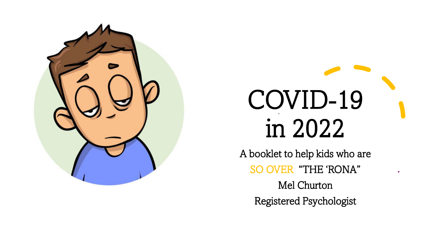

# COVID-19 in 2022

A booklet to help kids who are SO OVER "THE 'RONA" Mel Churton Registered Psychologist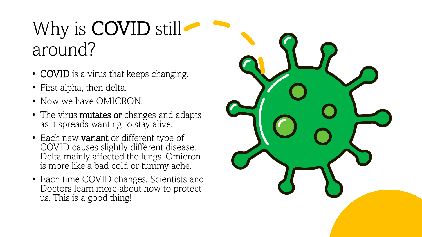## Why is **COVID** still around?

- COVID is a virus that keeps changing.
- First alpha, then delta.
- Now we have OMICRON.
- The virus **mutates or** changes and adapts as it spreads wanting to stay alive.
- Each new **variant** or different type of COVID causes slightly different disease. Delta mainly affected the lungs. Omicron is more like a bad cold or tummy ache.
- Each time COVID changes, Scientists and Doctors learn more about how to protect us. This is a good thing!

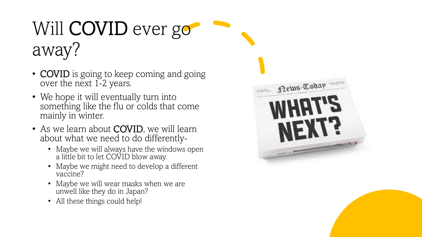# Will **COVID** ever go away?

- **COVID** is going to keep coming and going over the next 1-2 years.
- We hope it will eventually turn into something like the flu or colds that come mainly in winter.
- As we learn about **COVID**, we will learn about what we need to do differently-
	- Maybe we will always have the windows open a little bit to let COVID blow away.
	- Maybe we might need to develop a different vaccine?
	- Maybe we will wear masks when we are unwell like they do in Japan?
	- All these things could help!

|         | News Tobay           |  |  |
|---------|----------------------|--|--|
|         | HH<br>$\overline{1}$ |  |  |
|         |                      |  |  |
| TT reds |                      |  |  |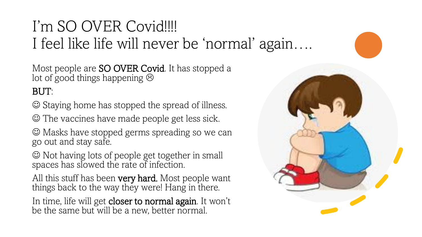### I'm SO OVER Covid!!!! I feel like life will never be 'normal' again….

Most people are **SO OVER Covid**. It has stopped a lot of good things happening  $\odot$ 

#### BUT:

Staying home has stopped the spread of illness.

The vaccines have made people get less sick.

 Masks have stopped germs spreading so we can go out and stay safe.

 $\odot$  Not having lots of people get together in small spaces has slowed the rate of infection.

All this stuff has been **very hard.** Most people want things back to the way they were! Hang in there.

In time, life will get closer to normal again. It won't be the same but will be a new, better normal.

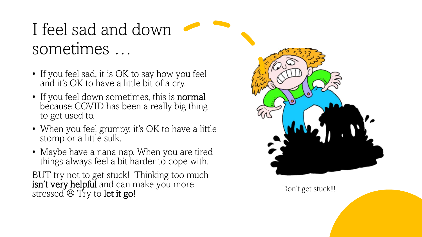## I feel sad and down sometimes …

- If you feel sad, it is OK to say how you feel and it's OK to have a little bit of a cry.
- If you feel down sometimes, this is **normal** because COVID has been a really big thing to get used to.
- When you feel grumpy, it's OK to have a little stomp or a little sulk.
- Maybe have a nana nap. When you are tired things always feel a bit harder to cope with.

BUT try not to get stuck! Thinking too much isn't very helpful and can make you more stressed  $\circledcirc$  Try to let it go!

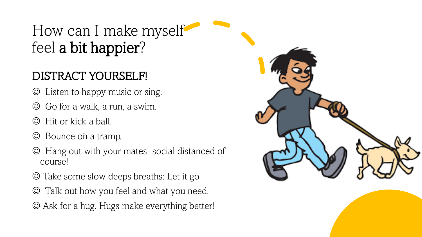## How can I make myself feel a bit happier?

#### DISTRACT YOURSELF!

- Listen to happy music or sing.
- Go for a walk, a run, a swim.
- $\odot$  Hit or kick a ball.
- $\odot$  Bounce on a tramp.
- Hang out with your mates- social distanced of course!
- Take some slow deeps breaths: Let it go
- Talk out how you feel and what you need.
- Ask for a hug. Hugs make everything better!

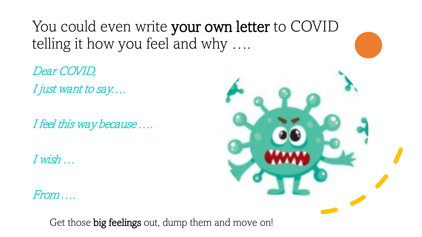You could even write your own letter to COVID telling it how you feel and why ….

Dear COVID, I just want to say....

I feel this way because ....

I wish …

From ….



Get those big feelings out, dump them and move on!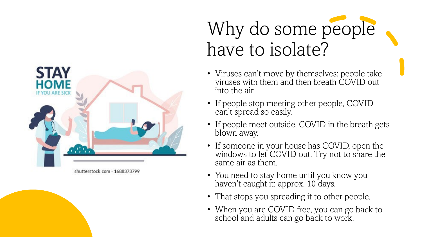

# Why do some people have to isolate?

- Viruses can't move by themselves; people take viruses with them and then breath COVID out into the air.
- If people stop meeting other people, COVID can't spread so easily.
- If people meet outside, COVID in the breath gets blown away.
- If someone in your house has COVID, open the windows to let COVID out. Try not to share the same air as them.
- You need to stay home until you know you haven't caught it: approx. 10 days.
- That stops you spreading it to other people.
- When you are COVID free, you can go back to school and adults can go back to work.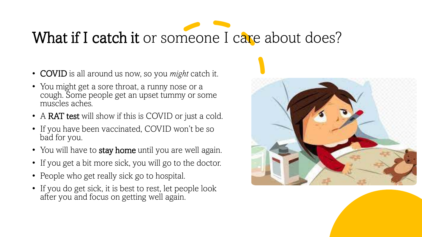# What if I catch it or someone I care about does?

- COVID is all around us now, so you *might* catch it.
- You might get a sore throat, a runny nose or a cough. Some people get an upset tummy or some muscles aches.
- A RAT test will show if this is COVID or just a cold.
- If you have been vaccinated, COVID won't be so bad for you.
- You will have to stay home until you are well again.
- If you get a bit more sick, you will go to the doctor.
- People who get really sick go to hospital.
- If you do get sick, it is best to rest, let people look after you and focus on getting well again.

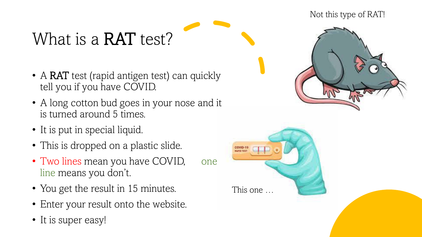## What is a **RAT** test?

- A RAT test (rapid antigen test) can quickly tell you if you have COVID.
- A long cotton bud goes in your nose and it is turned around 5 times.
- It is put in special liquid.
- This is dropped on a plastic slide.
- Two lines mean you have COVID, one line means you don't.
- You get the result in 15 minutes.
- Enter your result onto the website.
- It is super easy!





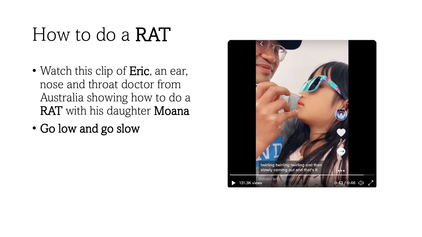# How to do a RAT

- Watch this clip of Eric, an ear, nose and throat doctor from Australia showing how to do a RAT with his daughter Moana
- Go low and go slow

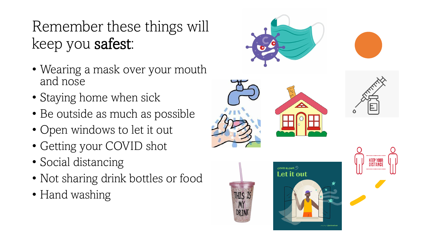## Remember these things will keep you safest:

- Wearing a mask over your mouth and nose
- Staying home when sick
- Be outside as much as possible
- Open windows to let it out
- Getting your COVID shot
- Social distancing
- Not sharing drink bottles or food
- Hand washing